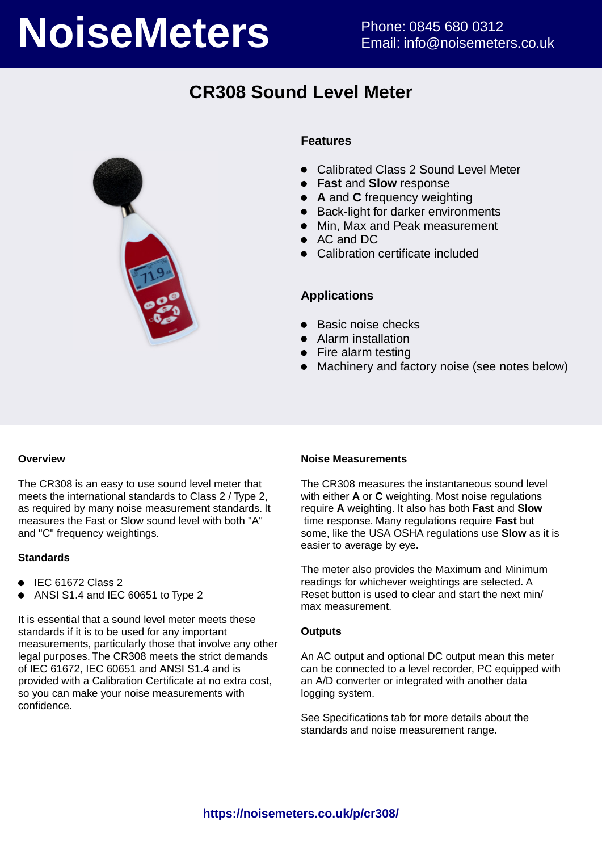# **NoiseMeters** Phone: 0845 680 0312

# **CR308 Sound Level Meter**



#### **Features**

- Calibrated Class 2 Sound Level Meter
- **Fast** and **Slow** response
- **A** and **C** frequency weighting
- Back-light for darker environments
- Min, Max and Peak measurement
- AC and DC
- Calibration certificate included

#### **Applications**

- Basic noise checks
- Alarm installation
- Fire alarm testing
- Machinery and factory noise (see notes below)

#### **Overview**

The CR308 is an easy to use sound level meter that meets the international standards to Class 2 / Type 2, as required by many noise measurement standards. It measures the Fast or Slow sound level with both "A" and "C" frequency weightings.

#### **Standards**

- $\bullet$  IEC 61672 Class 2
- ANSI S1.4 and IEC 60651 to Type 2

It is essential that a sound level meter meets these standards if it is to be used for any important measurements, particularly those that involve any other legal purposes. The CR308 meets the strict demands of IEC 61672, IEC 60651 and ANSI S1.4 and is provided with a Calibration Certificate at no extra cost, so you can make your noise measurements with confidence.

#### **Noise Measurements**

The CR308 measures the instantaneous sound level with either **A** or **C** weighting. Most noise regulations require **A** weighting. It also has both **Fast** and **Slow** time response. Many regulations require **Fast** but some, like the USA OSHA regulations use **Slow** as it is easier to average by eye.

The meter also provides the Maximum and Minimum readings for whichever weightings are selected. A Reset button is used to clear and start the next min/ max measurement.

#### **Outputs**

An AC output and optional DC output mean this meter can be connected to a level recorder, PC equipped with an A/D converter or integrated with another data logging system.

See Specifications tab for more details about the standards and noise measurement range.